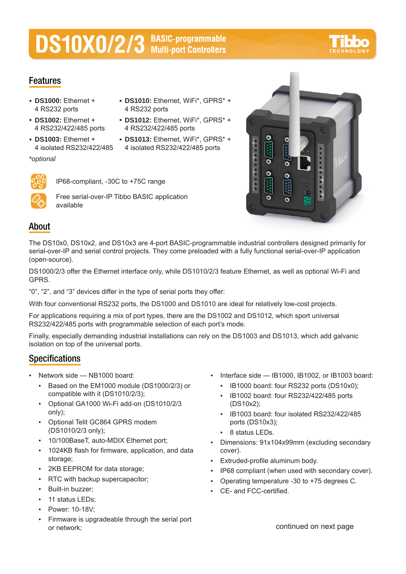# **DS10X0/2/3** BASIC-programmable



### **Features**

- **DS1000:** Ethernet + 4 RS232 ports
- **DS1002:** Ethernet + 4 RS232/422/485 ports
- **DS1003:** Ethernet + 4 isolated RS232/422/485
- **DS1010:** Ethernet, WiFi\*, GPRS\* + 4 RS232 ports
- **DS1012:** Ethernet, WiFi\*, GPRS\* + 4 RS232/422/485 ports
- **DS1013:** Ethernet, WiFi\*, GPRS\* + 4 isolated RS232/422/485 ports



*\*optional*

IP68-compliant, -30C to +75C range



Free serial-over-IP Tibbo BASIC application available



## **About**

The DS10x0, DS10x2, and DS10x3 are 4-port BASIC-programmable industrial controllers designed primarily for serial-over-IP and serial control projects. They come preloaded with a fully functional serial-over-IP application (open-source).

DS1000/2/3 offer the Ethernet interface only, while DS1010/2/3 feature Ethernet, as well as optional Wi-Fi and GPRS.

"0", "2", and "3" devices differ in the type of serial ports they offer:

With four conventional RS232 ports, the DS1000 and DS1010 are ideal for relatively low-cost projects.

For applications requiring a mix of port types, there are the DS1002 and DS1012, which sport universal RS232/422/485 ports with programmable selection of each port's mode.

Finally, especially demanding industrial installations can rely on the DS1003 and DS1013, which add galvanic isolation on top of the universal ports.

## **Specifications**

- Network side NB1000 board:
	- Based on the EM1000 module (DS1000/2/3) or compatible with it (DS1010/2/3);
	- Optional GA1000 Wi-Fi add-on (DS1010/2/3 only);
	- Optional Telit GC864 GPRS modem (DS1010/2/3 only);
	- 10/100BaseT, auto-MDIX Ethernet port;
	- 1024KB flash for firmware, application, and data storage;
	- 2KB EEPROM for data storage;
	- RTC with backup supercapacitor;
	- Built-in buzzer;
	- 11 status LEDs;
	- Power: 10-18V;
	- Firmware is upgradeable through the serial port or network;
- Interface side IB1000, IB1002, or IB1003 board:
	- IB1000 board: four RS232 ports (DS10x0);
	- IB1002 board: four RS232/422/485 ports (DS10x2);
	- IB1003 board: four isolated RS232/422/485 ports (DS10x3);
	- 8 status LEDs.
- Dimensions: 91x104x99mm (excluding secondary cover).
- Extruded-profile aluminum body.
- IP68 compliant (when used with secondary cover).
- Operating temperature -30 to +75 degrees C.
- CE- and FCC-certified.